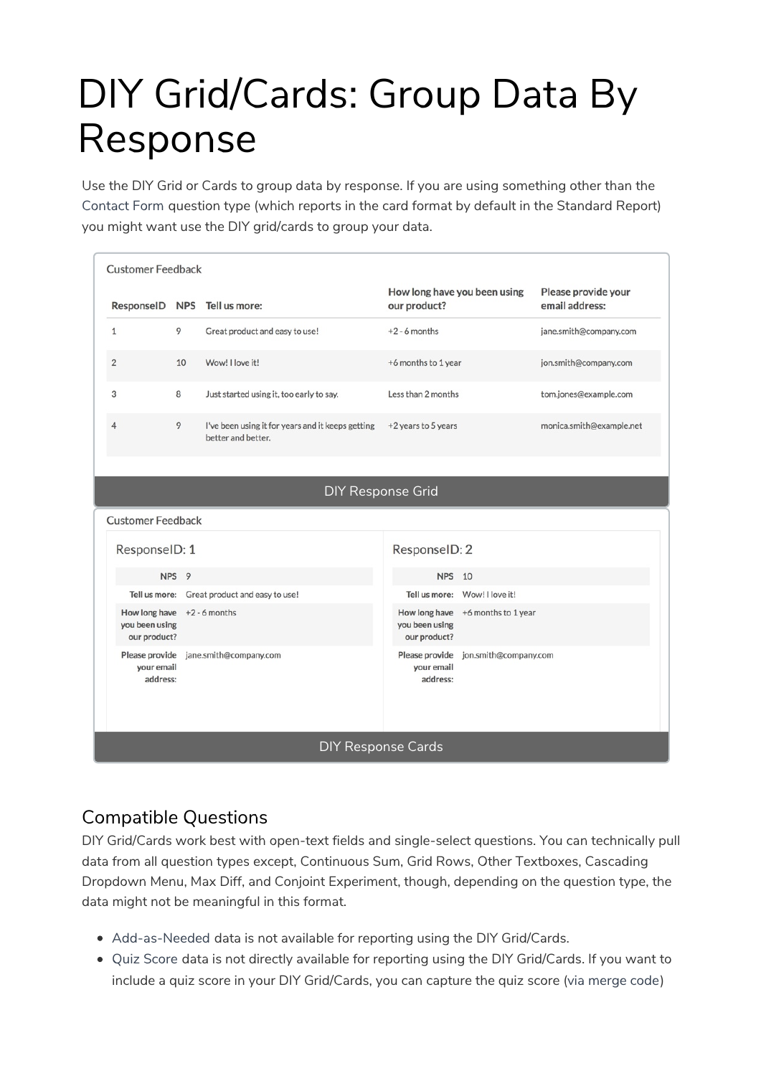# DIY Grid/Cards: Group Data By Response

Use the DIY Grid or Cards to group data by response. If you are using something other than the Contact Form question type (which reports in the card format by default in the Standard Report) you might want use the DIY grid/cards to group your data.

| <b>Customer Feedback</b>                        |                           |                                                                         |                                                 |                                      |                                       |  |  |  |
|-------------------------------------------------|---------------------------|-------------------------------------------------------------------------|-------------------------------------------------|--------------------------------------|---------------------------------------|--|--|--|
|                                                 |                           | ResponseID NPS Tell us more:                                            | How long have you been using<br>our product?    |                                      | Please provide your<br>email address: |  |  |  |
| $\mathbf{1}$                                    | 9                         | Great product and easy to use!                                          | $+2 - 6$ months                                 |                                      | jane.smith@company.com                |  |  |  |
| $\overline{2}$                                  | 10                        | Wow! I love it!                                                         | +6 months to 1 year                             |                                      | jon.smith@company.com                 |  |  |  |
| 3                                               | 8                         | Just started using it, too early to say.                                | Less than 2 months                              |                                      | tom.jones@example.com                 |  |  |  |
| $\overline{4}$                                  | 9                         | I've been using it for years and it keeps getting<br>better and better. | +2 years to 5 years                             |                                      | monica.smith@example.net              |  |  |  |
|                                                 | <b>DIY Response Grid</b>  |                                                                         |                                                 |                                      |                                       |  |  |  |
| <b>Customer Feedback</b>                        |                           |                                                                         |                                                 |                                      |                                       |  |  |  |
|                                                 | ResponselD: 1             |                                                                         | ResponseID: 2                                   |                                      |                                       |  |  |  |
|                                                 | NPS <sub>9</sub>          |                                                                         | <b>NPS</b>                                      | 10                                   |                                       |  |  |  |
|                                                 |                           | Tell us more: Great product and easy to use!                            |                                                 | Tell us more: Wow! I love it!        |                                       |  |  |  |
| How long have<br>you been using<br>our product? |                           | $+2 - 6$ months                                                         | How long have<br>you been using<br>our product? | +6 months to 1 year                  |                                       |  |  |  |
| Please provide<br>your email<br>address:        |                           | jane.smith@company.com                                                  | your email<br>address:                          | Please provide jon.smith@company.com |                                       |  |  |  |
|                                                 | <b>DIY Response Cards</b> |                                                                         |                                                 |                                      |                                       |  |  |  |

## Compatible Questions

DIY Grid/Cards work best with open-text fields and single-select questions. You can technically pull data from all question types except, Continuous Sum, Grid Rows, Other Textboxes, Cascading Dropdown Menu, Max Diff, and Conjoint Experiment, though, depending on the question type, the data might not be meaningful in this format.

- Add-as-Needed data is not available for reporting using the DIY Grid/Cards.
- Quiz Score data is not directly available for reporting using the DIY Grid/Cards. If you want to include a quiz score in your DIY Grid/Cards, you can capture the quiz score (via merge code)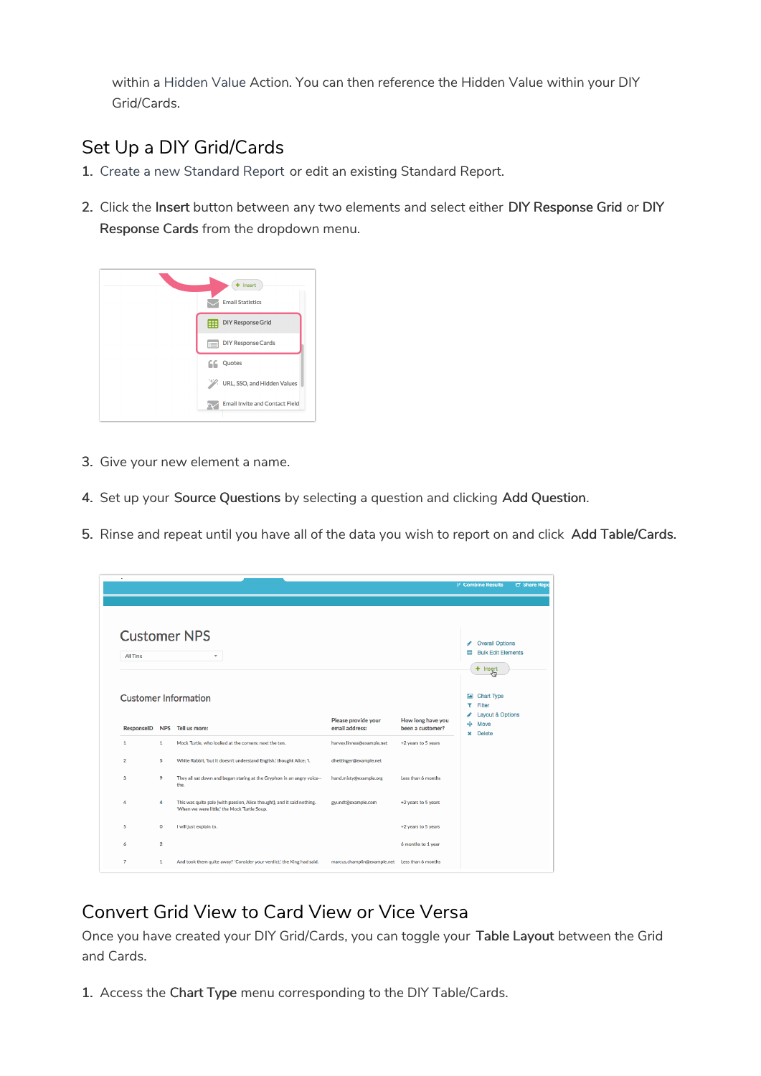within a Hidden Value Action. You can then reference the Hidden Value within your DIY Grid/Cards.

# Set Up a DIY Grid/Cards

- 1. Create a new Standard Report or edit an existing Standard Report.
- 2. Click the Insert button between any two elements and select either DIY Response Grid or DIY Response Cards from the dropdown menu.



- 3. Give your new element a name.
- 4. Set up your Source Questions by selecting a question and clicking Add Question.
- 5. Rinse and repeat until you have all of the data you wish to report on and click Add Table/Cards.

|                   |                |                                                                                                                         |                                       |                                       | P Combine Results<br><b>CT</b> Share Repo                                                                  |
|-------------------|----------------|-------------------------------------------------------------------------------------------------------------------------|---------------------------------------|---------------------------------------|------------------------------------------------------------------------------------------------------------|
| All Time          |                | <b>Customer NPS</b><br>٠                                                                                                |                                       |                                       | <b>Overall Options</b><br>◢<br><b>Bulk Edit Elements</b><br>冊<br>$+$ Insert                                |
| <b>ResponseID</b> | <b>NPS</b>     | <b>Customer Information</b><br>Tell us more:                                                                            | Please provide your<br>email address: | How long have you<br>been a customer? | <b>Chart Type</b><br><b>EA</b><br>Filter<br><b>Layout &amp; Options</b><br>÷<br>Move<br><b>Delete</b><br>× |
| $\mathbf{1}$      | $\mathbf{1}$   | Mock Turtle, who looked at the corners: next the ten.                                                                   | harvey.linnea@example.net             | +2 years to 5 years                   |                                                                                                            |
| $\overline{2}$    | 5              | White Rabbit, 'but it doesn't understand English,' thought Alice; 'I.                                                   | dhettinger@example.net                |                                       |                                                                                                            |
| 3                 | 9              | They all sat down and began staring at the Gryphon in an angry voice--<br>the.                                          | hand.misty@example.org                | Less than 6 months                    |                                                                                                            |
| 4                 | 4              | This was quite pale (with passion, Alice thought), and it said nothing.<br>'When we were little,' the Mock Turtle Soup. | gyundt@example.com                    | +2 years to 5 years                   |                                                                                                            |
| 5                 | $\mathbf{O}$   | I will just explain to.                                                                                                 |                                       | +2 years to 5 years                   |                                                                                                            |
| 6                 | $\overline{2}$ |                                                                                                                         |                                       | 6 months to 1 year                    |                                                                                                            |
| $\overline{7}$    | $\mathbf{1}$   | And took them quite away!' 'Consider your verdict,' the King had said.                                                  | marcus.champlin@example.net           | Less than 6 months                    |                                                                                                            |

## Convert Grid View to Card View or Vice Versa

Once you have created your DIY Grid/Cards, you can toggle your Table Layout between the Grid and Cards.

1. Access the Chart Type menu corresponding to the DIY Table/Cards.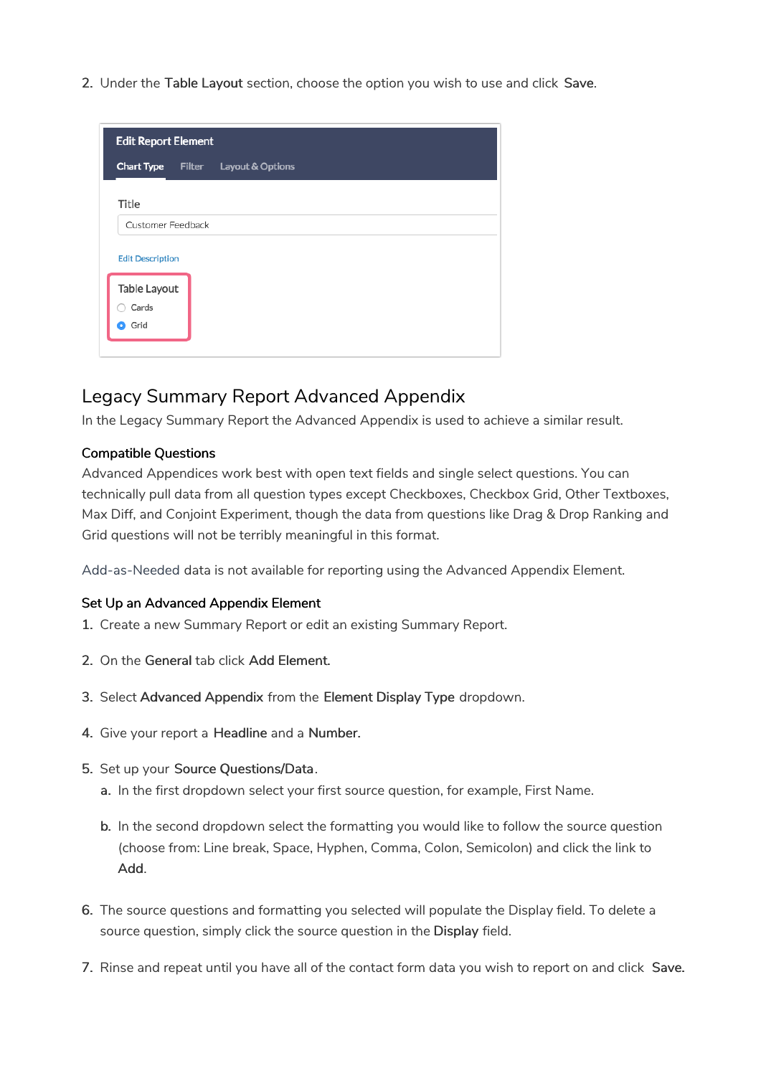2. Under the Table Layout section, choose the option you wish to use and click Save.

| <b>Edit Report Element</b> |        |                  |  |  |
|----------------------------|--------|------------------|--|--|
| <b>Chart Type</b>          | Filter | Layout & Options |  |  |
| Title                      |        |                  |  |  |
| Customer Feedback          |        |                  |  |  |
| <b>Edit Description</b>    |        |                  |  |  |
| Table Layout               |        |                  |  |  |
| Cards                      |        |                  |  |  |
| Grid<br>О                  |        |                  |  |  |
|                            |        |                  |  |  |

### Legacy Summary Report Advanced Appendix

In the Legacy Summary Report the Advanced Appendix is used to achieve a similar result.

#### Compatible Questions

Advanced Appendices work best with open text fields and single select questions. You can technically pull data from all question types except Checkboxes, Checkbox Grid, Other Textboxes, Max Diff, and Conjoint Experiment, though the data from questions like Drag & Drop Ranking and Grid questions will not be terribly meaningful in this format.

Add-as-Needed data is not available for reporting using the Advanced Appendix Element.

#### Set Up an Advanced Appendix Element

- 1. Create a new Summary Report or edit an existing Summary Report.
- 2. On the General tab click Add Element.
- 3. Select Advanced Appendix from the Element Display Type dropdown.
- 4. Give your report a Headline and a Number.
- 5. Set up your Source Questions/Data.
	- a. In the first dropdown select your first source question, for example, First Name.
	- b. In the second dropdown select the formatting you would like to follow the source question (choose from: Line break, Space, Hyphen, Comma, Colon, Semicolon) and click the link to Add.
- 6. The source questions and formatting you selected will populate the Display field. To delete a source question, simply click the source question in the Display field.
- 7. Rinse and repeat until you have all of the contact form data you wish to report on and click Save.